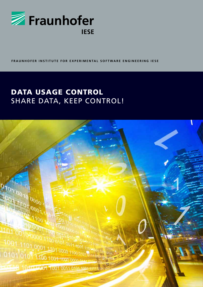

FRAUNHOFER INSTITUTE FOR EXPERIMENTAL SOFTWARE ENGINEERING IESE

# DATA USAGE CONTROL SHARE DATA, KEEP CONTROL!

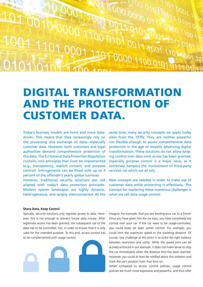1000 000  $1000^{10}$ TOT DOON TOT 0001 101 0010-0000 1100 0101 0011-0011101  $0111000$  $.001110100011100010111100011100001110000111011011011101110111011101110111011101110111011101110111011101110111011101110111011101110111011101110111011101110111011101110111011101110111011101110111011101110111011101110111011$ 

# Digital Transformation and the Protection of Customer Data.

Today's business models are more and more datadriven. This means that they increasingly rely on the processing and exchange of data—especially customer data. However, both customers and legal authorities demand comprehensive protection of this data. The EU General Data Protection Regulation contains core principles that must be implemented (e.g., transparency, explicit consent, and purpose control). Infringements can be fined with up to 4 percent of the offender's yearly global turnover.

However, traditional security solutions are not aligned with today's data protection principles. Modern system landscapes are highly dynamic, heterogeneous, and largely interconnected. At the same time, many security concepts we apply today stem from the 1970s. They are neither powerful nor flexible enough to assure comprehensive data protection in the age of steadily advancing digital transformation. These solutions do not allow keeping control over data once access has been granted. Especially purpose control is a major issue, as it extremely hampers the involvement of third-party services, on which we all rely.

New concepts are needed in order to make use of customer data while protecting it effectively. The concept for mastering these numerous challenges is what we call *data usage control*.

#### **Share Data, Keep Control**

Typically, security solutions only regulate access to data. However, this is not enough to prevent future data misuse. After legitimate access has been granted, the subsequent use of the data has to be controlled, too, in order to ensure that it is only used for the intended purpose. To this end, access control has to be complemented with usage control.



Imagine, for example, that you are lending your car to a friend. Once you have given him the car keys, you have completely lost control over your car. If the car were to be usage-controlled, you could keep (at least some) control. For example, you could limit the maximum speed or the traveling distance. Of course, one challenge at this point is to strike the right balance between restriction and utility: While the speed limit can be actively enforced in our example, it does not make sense to stop the car immediately when the distance limit has been reached. However, you could at least be notified about this violation and track the car's position from that time on.

When compared to access control policies, usage control policies are much more expressive and powerful, and thus offer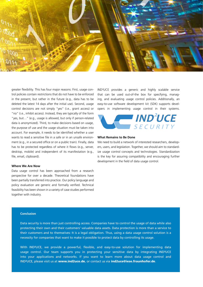

greater flexibility. This has four major reasons: First, usage control policies contain restrictions that do not have to be enforced in the present, but rather in the future (e.g., data has to be deleted the latest 14 days after the initial use). Second, usage control decisions are not simply "yes" (i.e., grant access) or "no" (i.e., inhibit access). Instead, they are typically of the form "yes, but…" (e.g., usage is allowed, but only if person-related data is anonymized). Third, to make decisions based on usage, the purpose of use and the usage situation must be taken into account. For example, it needs to be identified whether a user wants to read a sensitive file in a safe or in an unsafe environment (e.g., in a secured office or on a public train). Finally, data has to be protected regardless of where it flows (e.g., server, desktop, mobile) and independent of its manifestation (e.g., file, email, clipboard).

#### **Where We Are Now**

Data usage control has been approached from a research perspective for over a decade. Theoretical foundations have been partially transferred into practice. Our policy language and policy evaluation are generic and formally verified. Technical feasibility has been shown in a variety of case studies performed together with industry.

IND²UCE provides a generic and highly scalable service that can be used out-of-the box for specifying, managing, and evaluating usage control policies. Additionally, an easy-to-use software development kit (SDK) supports developers in implementing usage control in their systems.



#### **What Remains to Be Done**

We need to build a network of interested researchers, developers, users, and legislation. Together, we should aim to standardize usage control concepts and technologies. Standardization is the key for assuring compatibility and encouraging further development in the field of data usage control.

#### **Conclusion**

Data security is more than just controlling access. Companies have to control the usage of data while also protecting their own and their customers' valuable data assets. Data protection is more than a service to their customers and to themselves: It is a legal obligation. Thus, using a data usage control solution is a necessity for companies that want to make it possible to protect data by controlling its usage.

With IND²UCE, we provide a powerful, flexible, and easy-to-use solution for implementing data usage control. Our team supports you in protecting your sensitive data by integrating IND²UCE into your applications and networks. If you want to learn more about data usage control and IND²UCE, please visit us at www.ind2uce.de, or contact us via ind2uce@iese.fraunhofer.de.